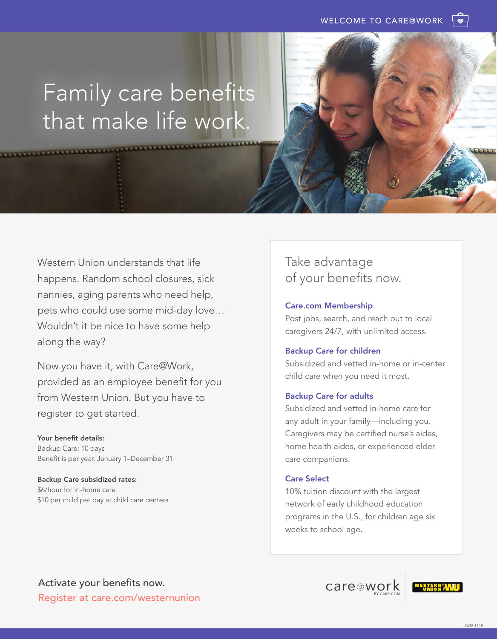# Family care benefits that make life work.

Western Union understands that life happens. Random school closures, sick nannies, aging parents who need help, pets who could use some mid-day love… Wouldn't it be nice to have some help along the way?

Now you have it, with Care@Work, provided as an employee benefit for you from Western Union. But you have to register to get started.

Your benefit details: Backup Care: 10 days Benefit is per year, January 1–December 31

Backup Care subsidized rates: \$6/hour for in-home care \$10 per child per day at child care centers

# Take advantage of your benefits now.

## Care.com Membership

Post jobs, search, and reach out to local caregivers 24/7, with unlimited access.

# Backup Care for children

Subsidized and vetted in-home or in-center child care when you need it most.

# Backup Care for adults

Subsidized and vetted in-home care for any adult in your family—including you. Caregivers may be certified nurse's aides, home health aides, or experienced elder care companions.

# Care Select

10% tuition discount with the largest network of early childhood education programs in the U.S., for children age six weeks to school age.

care@work